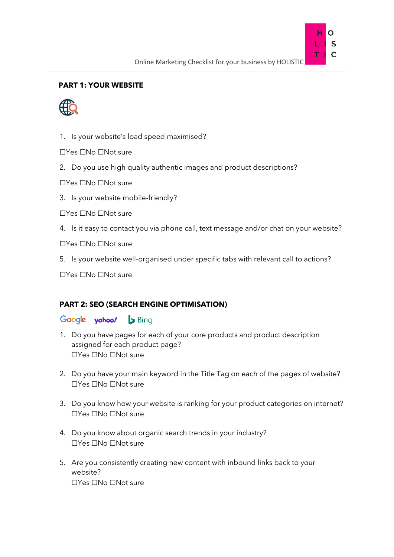

# **PART 1: YOUR WEBSITE**



1. Is your website's load speed maximised?

☐Yes ☐No ☐Not sure

2. Do you use high quality authentic images and product descriptions?

☐Yes ☐No ☐Not sure

3. Is your website mobile-friendly?

☐Yes ☐No ☐Not sure

4. Is it easy to contact you via phone call, text message and/or chat on your website?

☐Yes ☐No ☐Not sure

5. Is your website well-organised under specific tabs with relevant call to actions?

☐Yes ☐No ☐Not sure

### **PART 2: SEO (SEARCH ENGINE OPTIMISATION)**

## Google yahoo! Sling

- 1. Do you have pages for each of your core products and product description assigned for each product page? ☐Yes ☐No ☐Not sure
- 2. Do you have your main keyword in the Title Tag on each of the pages of website? ☐Yes ☐No ☐Not sure
- 3. Do you know how your website is ranking for your product categories on internet? ☐Yes ☐No ☐Not sure
- 4. Do you know about organic search trends in your industry? ☐Yes ☐No ☐Not sure
- 5. Are you consistently creating new content with inbound links back to your website? ☐Yes ☐No ☐Not sure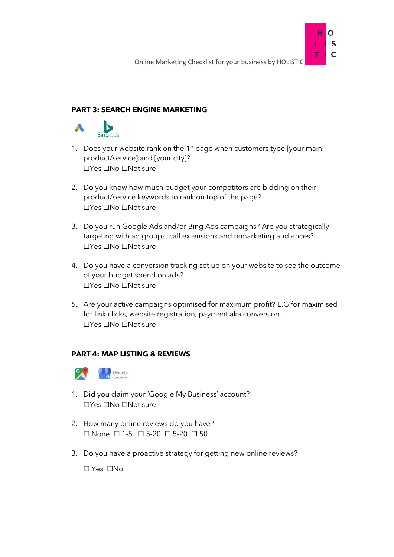S Ċ

# **PART 3: SEARCH ENGINE MARKETING**



- 1. Does your website rank on the  $1<sup>st</sup>$  page when customers type [your main] product/service] and [your city]? ☐Yes ☐No ☐Not sure
- 2. Do you know how much budget your competitors are bidding on their product/service keywords to rank on top of the page? ☐Yes ☐No ☐Not sure
- 3. Do you run Google Ads and/or Bing Ads campaigns? Are you strategically targeting with ad groups, call extensions and remarketing audiences? ☐Yes ☐No ☐Not sure
- 4. Do you have a conversion tracking set up on your website to see the outcome of your budget spend on ads? ☐Yes ☐No ☐Not sure
- 5. Are your active campaigns optimised for maximum profit? E.G for maximised for link clicks, website registration, payment aka conversion. ☐Yes ☐No ☐Not sure

### **PART 4: MAP LISTING & REVIEWS**



- 1. Did you claim your 'Google My Business' account? ☐Yes ☐No ☐Not sure
- 2. How many online reviews do you have? ☐ None ☐ 1-5 ☐ 5-20 ☐ 5-20 ☐ 50 +
- 3. Do you have a proactive strategy for getting new online reviews?

☐ Yes ☐No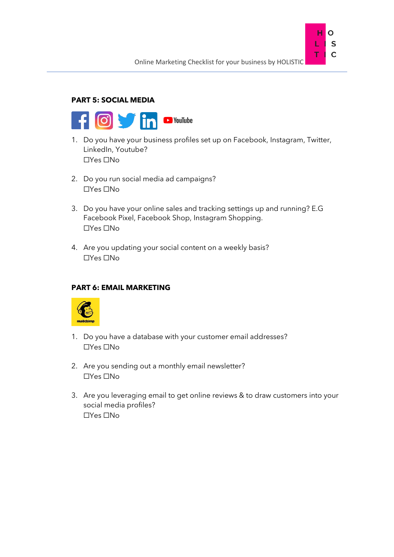

## **PART 5: SOCIAL MEDIA**



- 1. Do you have your business profiles set up on Facebook, Instagram, Twitter, LinkedIn, Youtube? ☐Yes ☐No
- 2. Do you run social media ad campaigns? ☐Yes ☐No
- 3. Do you have your online sales and tracking settings up and running? E.G Facebook Pixel, Facebook Shop, Instagram Shopping. ☐Yes ☐No
- 4. Are you updating your social content on a weekly basis? ☐Yes ☐No

### **PART 6: EMAIL MARKETING**



- 1. Do you have a database with your customer email addresses? ☐Yes ☐No
- 2. Are you sending out a monthly email newsletter? ☐Yes ☐No
- 3. Are you leveraging email to get online reviews & to draw customers into your social media profiles? ☐Yes ☐No